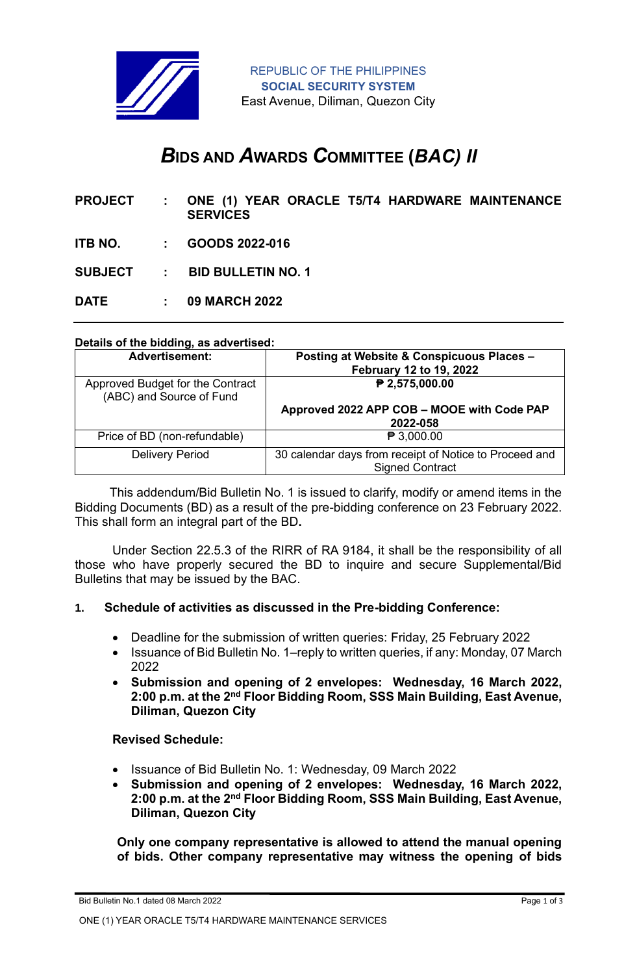

# *B***IDS AND** *A***WARDS** *C***OMMITTEE (***BAC) II*

| <b>PROJECT:</b> | ONE (1) YEAR ORACLE T5/T4 HARDWARE MAINTENANCE<br><b>SERVICES</b> |
|-----------------|-------------------------------------------------------------------|
|                 | <b>ITB NO. : GOODS 2022-016</b>                                   |
|                 | SUBJECT : BID BULLETIN NO. 1                                      |
| DATE:           | <b>09 MARCH 2022</b>                                              |

# **Details of the bidding, as advertised:**

| <b>Advertisement:</b>                                        | Posting at Website & Conspicuous Places -<br>February 12 to 19, 2022             |
|--------------------------------------------------------------|----------------------------------------------------------------------------------|
| Approved Budget for the Contract<br>(ABC) and Source of Fund | ₱ 2,575,000.00                                                                   |
|                                                              | Approved 2022 APP COB - MOOE with Code PAP<br>2022-058                           |
| Price of BD (non-refundable)                                 | $\mathbf{P}$ 3,000.00                                                            |
| <b>Delivery Period</b>                                       | 30 calendar days from receipt of Notice to Proceed and<br><b>Signed Contract</b> |

 This addendum/Bid Bulletin No. 1 is issued to clarify, modify or amend items in the Bidding Documents (BD) as a result of the pre-bidding conference on 23 February 2022. This shall form an integral part of the BD**.**

Under Section 22.5.3 of the RIRR of RA 9184, it shall be the responsibility of all those who have properly secured the BD to inquire and secure Supplemental/Bid Bulletins that may be issued by the BAC.

### **1. Schedule of activities as discussed in the Pre-bidding Conference:**

- Deadline for the submission of written queries: Friday, 25 February 2022
- Issuance of Bid Bulletin No. 1–reply to written queries, if any: Monday, 07 March 2022
- **Submission and opening of 2 envelopes: Wednesday, 16 March 2022, 2:00 p.m. at the 2nd Floor Bidding Room, SSS Main Building, East Avenue, Diliman, Quezon City**

### **Revised Schedule:**

- Issuance of Bid Bulletin No. 1: Wednesday, 09 March 2022
- **Submission and opening of 2 envelopes: Wednesday, 16 March 2022, 2:00 p.m. at the 2nd Floor Bidding Room, SSS Main Building, East Avenue, Diliman, Quezon City**

**Only one company representative is allowed to attend the manual opening of bids. Other company representative may witness the opening of bids** 

ONE (1) YEAR ORACLE T5/T4 HARDWARE MAINTENANCE SERVICES

Bid Bulletin No.1 dated 08 March 2022 Page 1 of 3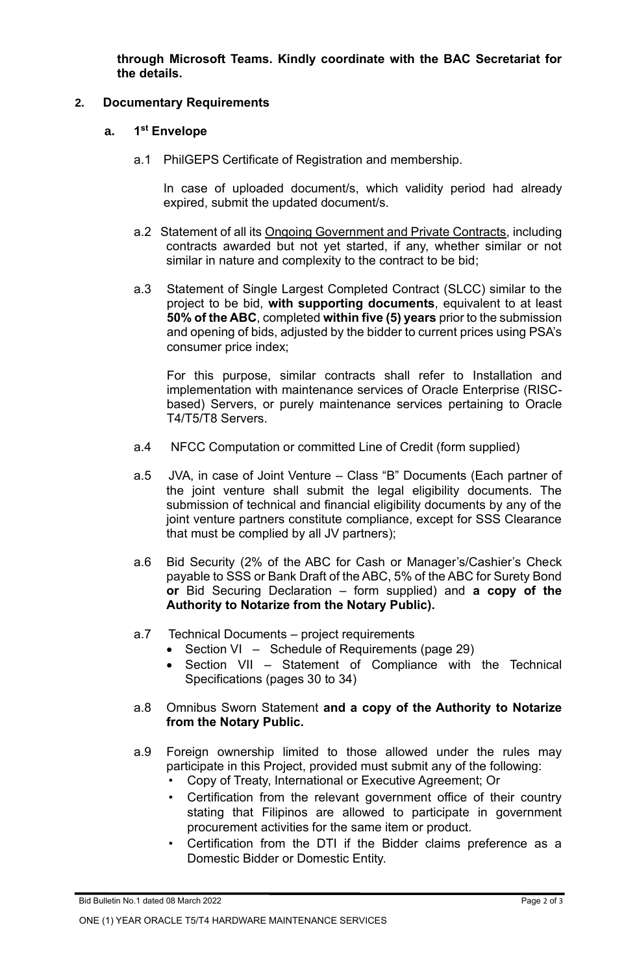**through Microsoft Teams. Kindly coordinate with the BAC Secretariat for the details.**

### **2. Documentary Requirements**

#### **a. 1 st Envelope**

a.1 PhilGEPS Certificate of Registration and membership.

In case of uploaded document/s, which validity period had already expired, submit the updated document/s.

- a.2 Statement of all its Ongoing Government and Private Contracts, including contracts awarded but not yet started, if any, whether similar or not similar in nature and complexity to the contract to be bid;
- a.3 Statement of Single Largest Completed Contract (SLCC) similar to the project to be bid, **with supporting documents**, equivalent to at least **50% of the ABC**, completed **within five (5) years** prior to the submission and opening of bids, adjusted by the bidder to current prices using PSA's consumer price index;

For this purpose, similar contracts shall refer to Installation and implementation with maintenance services of Oracle Enterprise (RISCbased) Servers, or purely maintenance services pertaining to Oracle T4/T5/T8 Servers.

- a.4 NFCC Computation or committed Line of Credit (form supplied)
- a.5 JVA, in case of Joint Venture Class "B" Documents (Each partner of the joint venture shall submit the legal eligibility documents. The submission of technical and financial eligibility documents by any of the joint venture partners constitute compliance, except for SSS Clearance that must be complied by all JV partners);
- a.6 Bid Security (2% of the ABC for Cash or Manager's/Cashier's Check payable to SSS or Bank Draft of the ABC, 5% of the ABC for Surety Bond **or** Bid Securing Declaration – form supplied) and **a copy of the Authority to Notarize from the Notary Public).**
- a.7 Technical Documents project requirements
	- Section VI Schedule of Requirements (page 29)
	- Section VII Statement of Compliance with the Technical Specifications (pages 30 to 34)
- a.8 Omnibus Sworn Statement **and a copy of the Authority to Notarize from the Notary Public.**
- a.9 Foreign ownership limited to those allowed under the rules may participate in this Project, provided must submit any of the following:
	- Copy of Treaty, International or Executive Agreement; Or
	- Certification from the relevant government office of their country stating that Filipinos are allowed to participate in government procurement activities for the same item or product.
	- Certification from the DTI if the Bidder claims preference as a Domestic Bidder or Domestic Entity.

Bid Bulletin No.1 dated 08 March 2022 **Page 2 of 3 Page 2 of 3**